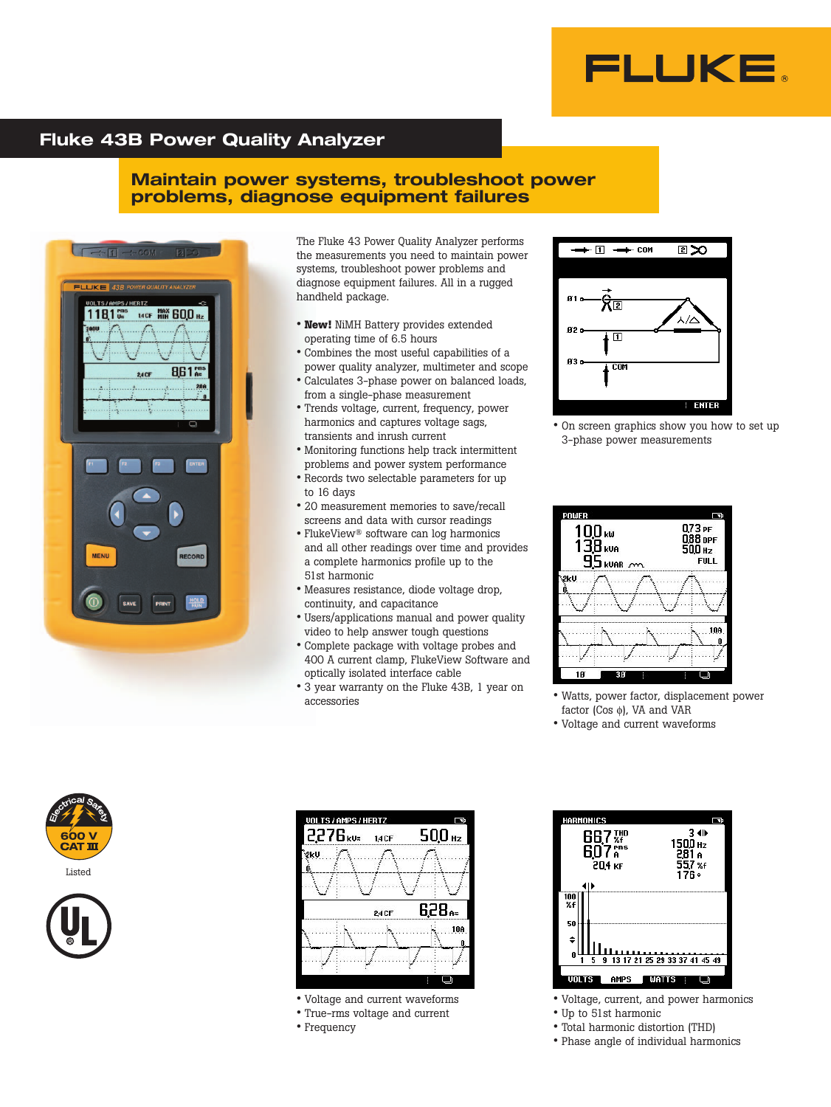

### **Fluke 43B Power Quality Analyzer**

### **Maintain power systems, troubleshoot power problems, diagnose equipment failures**



The Fluke 43 Power Quality Analyzer performs the measurements you need to maintain power systems, troubleshoot power problems and diagnose equipment failures. All in a rugged handheld package.

- **New!** NiMH Battery provides extended operating time of 6.5 hours
- Combines the most useful capabilities of a power quality analyzer, multimeter and scope
- Calculates 3-phase power on balanced loads, from a single-phase measurement
- Trends voltage, current, frequency, power harmonics and captures voltage sags, transients and inrush current
- Monitoring functions help track intermittent problems and power system performance
- Records two selectable parameters for up to 16 days
- 20 measurement memories to save/recall screens and data with cursor readings
- FlukeView® software can log harmonics and all other readings over time and provides a complete harmonics profile up to the 51st harmonic
- Measures resistance, diode voltage drop, continuity, and capacitance
- Users/applications manual and power quality video to help answer tough questions
- Complete package with voltage probes and 400 A current clamp, FlukeView Software and optically isolated interface cable
- 3 year warranty on the Fluke 43B, 1 year on accessories



• On screen graphics show you how to set up 3-phase power measurements



- Watts, power factor, displacement power factor (Cos φ), VA and VAR
- Voltage and current waveforms







- Voltage and current waveforms
- True-rms voltage and current
- Frequency



- Voltage, current, and power harmonics • Up to 51st harmonic
- Total harmonic distortion (THD)
- Phase angle of individual harmonics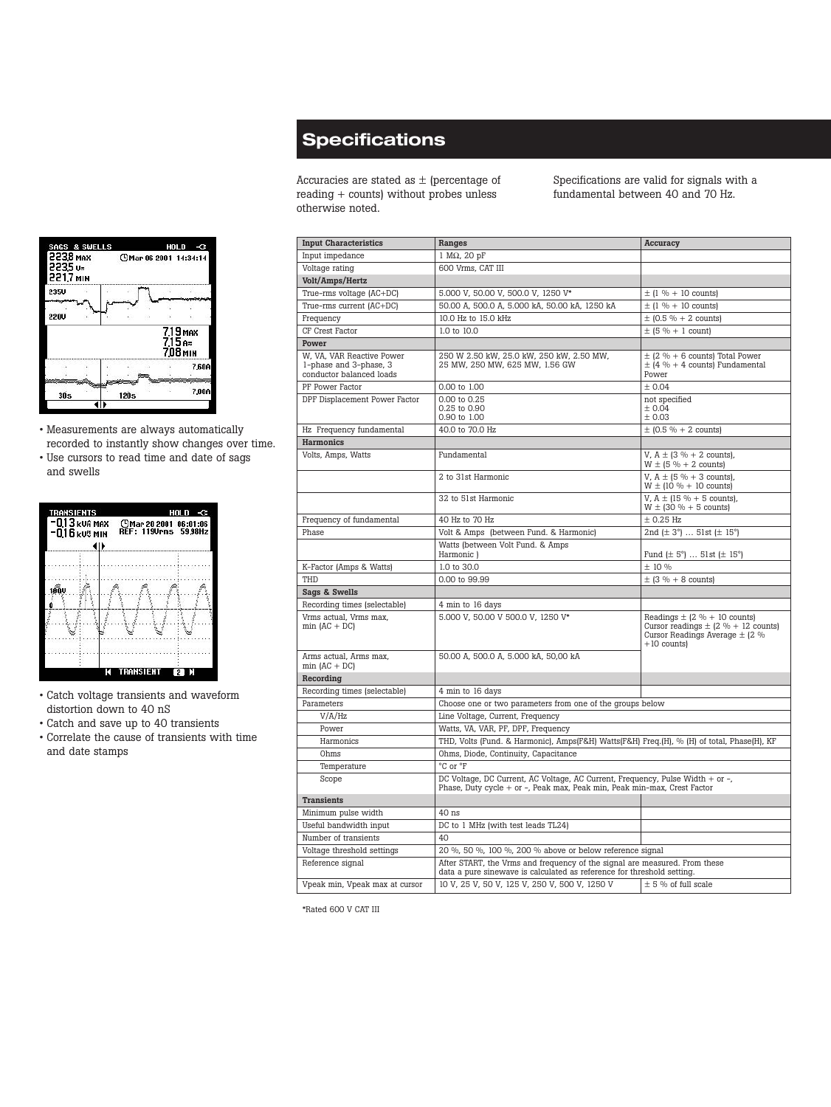# **Specifications**

Accuracies are stated as  $\pm$  (percentage of reading + counts) without probes unless otherwise noted.

Specifications are valid for signals with a fundamental between 40 and 70 Hz.

| <b>Input Characteristics</b>                                                    | Ranges                                                                                                                                                     | Accuracy                                                                                                                            |
|---------------------------------------------------------------------------------|------------------------------------------------------------------------------------------------------------------------------------------------------------|-------------------------------------------------------------------------------------------------------------------------------------|
| Input impedance                                                                 | $1 M\Omega$ , 20 pF                                                                                                                                        |                                                                                                                                     |
| Voltage rating                                                                  | 600 Vrms, CAT III                                                                                                                                          |                                                                                                                                     |
| Volt/Amps/Hertz                                                                 |                                                                                                                                                            |                                                                                                                                     |
| True-rms voltage (AC+DC)                                                        | 5.000 V, 50.00 V, 500.0 V, 1250 V*                                                                                                                         | $\pm$ (1 % + 10 counts)                                                                                                             |
| True-rms current (AC+DC)                                                        | 50.00 A, 500.0 A, 5.000 kA, 50.00 kA, 1250 kA                                                                                                              | $\pm$ (1 % + 10 counts)                                                                                                             |
| Frequency                                                                       | 10.0 Hz to 15.0 kHz                                                                                                                                        | $\pm$ (0.5 % + 2 counts)                                                                                                            |
| CF Crest Factor                                                                 | 1.0 to 10.0                                                                                                                                                | $\pm$ (5 % + 1 count)                                                                                                               |
| Power                                                                           |                                                                                                                                                            |                                                                                                                                     |
| W, VA, VAR Reactive Power<br>1-phase and 3-phase, 3<br>conductor balanced loads | 250 W 2.50 kW, 25.0 kW, 250 kW, 2.50 MW,<br>25 MW, 250 MW, 625 MW, 1.56 GW                                                                                 | $\pm$ (2 % + 6 counts) Total Power<br>$\pm$ (4 % + 4 counts) Fundamental<br>Power                                                   |
| PF Power Factor                                                                 | 0.00 to 1.00                                                                                                                                               | ± 0.04                                                                                                                              |
| DPF Displacement Power Factor                                                   | 0.00 to 0.25<br>0.25 to 0.90<br>0.90 to 1.00                                                                                                               | not specified<br>± 0.04<br>± 0.03                                                                                                   |
| Hz Frequency fundamental                                                        | 40.0 to 70.0 Hz                                                                                                                                            | $\pm$ (0.5 % + 2 counts)                                                                                                            |
| Harmonics                                                                       |                                                                                                                                                            |                                                                                                                                     |
| Volts, Amps, Watts                                                              | Fundamental                                                                                                                                                | V, $A \pm (3\% + 2\text{ counts})$ ,<br>$W \pm (5 \% + 2 counts)$                                                                   |
|                                                                                 | 2 to 31st Harmonic                                                                                                                                         | V, $A \pm (5\% + 3\text{ counts})$ ,<br>$W \pm (10\% + 10\text{ counts})$                                                           |
|                                                                                 | 32 to 51st Harmonic                                                                                                                                        | V, $A \pm (15\% + 5\text{ counts})$ ,<br>$W \pm (30\% + 5 \text{ counts})$                                                          |
| Frequency of fundamental                                                        | 40 Hz to 70 Hz                                                                                                                                             | $\pm$ 0.25 Hz                                                                                                                       |
| Phase                                                                           | Volt & Amps (between Fund. & Harmonic)                                                                                                                     | 2nd ( $\pm$ 3°)  51st ( $\pm$ 15°)                                                                                                  |
|                                                                                 | Watts (between Volt Fund. & Amps<br>Harmonic)                                                                                                              | Fund $(\pm 5^{\circ})$ 51st $(\pm 15^{\circ})$                                                                                      |
| K-Factor (Amps & Watts)                                                         | 1.0 to 30.0                                                                                                                                                | ± 10 %                                                                                                                              |
| THD                                                                             | 0.00 to 99.99                                                                                                                                              | $\pm$ (3 % + 8 counts)                                                                                                              |
| Sags & Swells                                                                   |                                                                                                                                                            |                                                                                                                                     |
| Recording times (selectable)                                                    | 4 min to 16 days                                                                                                                                           |                                                                                                                                     |
| Vrms actual, Vrms max,<br>$min (AC + DC)$                                       | 5.000 V, 50.00 V 500.0 V, 1250 V*                                                                                                                          | Readings $\pm$ (2 % + 10 counts)<br>Cursor readings $\pm$ (2 % + 12 counts)<br>Cursor Readings Average $\pm$ (2 %)<br>$+10$ counts) |
| Arms actual, Arms max,<br>$min (AC + DC)$                                       | 50.00 A, 500.0 A, 5.000 kA, 50,00 kA                                                                                                                       |                                                                                                                                     |
| Recording                                                                       |                                                                                                                                                            |                                                                                                                                     |
| Recording times (selectable)                                                    | 4 min to 16 days                                                                                                                                           |                                                                                                                                     |
| Parameters                                                                      | Choose one or two parameters from one of the groups below                                                                                                  |                                                                                                                                     |
| V/A/Hz                                                                          | Line Voltage, Current, Frequency                                                                                                                           |                                                                                                                                     |
| Power                                                                           | Watts, VA, VAR, PF, DPF, Frequency                                                                                                                         |                                                                                                                                     |
| Harmonics                                                                       | THD, Volts (Fund. & Harmonic), Amps(F&H) Watts(F&H) Freq.(H), % (H) of total, Phase(H), KF                                                                 |                                                                                                                                     |
| Ohms                                                                            | Ohms, Diode, Continuity, Capacitance                                                                                                                       |                                                                                                                                     |
| Temperature                                                                     | °C or °F                                                                                                                                                   |                                                                                                                                     |
| Scope                                                                           | DC Voltage, DC Current, AC Voltage, AC Current, Frequency, Pulse Width + or -,<br>Phase, Duty cycle + or -, Peak max, Peak min, Peak min-max, Crest Factor |                                                                                                                                     |
| <b>Transients</b>                                                               |                                                                                                                                                            |                                                                                                                                     |
| Minimum pulse width                                                             | $40$ ns                                                                                                                                                    |                                                                                                                                     |
| Useful bandwidth input                                                          | DC to 1 MHz (with test leads TL24)                                                                                                                         |                                                                                                                                     |
| Number of transients                                                            | 40                                                                                                                                                         |                                                                                                                                     |
| Voltage threshold settings                                                      | 20 %, 50 %, 100 %, 200 % above or below reference signal                                                                                                   |                                                                                                                                     |
| Reference signal                                                                | After START, the Vrms and frequency of the signal are measured. From these<br>data a pure sinewave is calculated as reference for threshold setting.       |                                                                                                                                     |
| Vpeak min, Vpeak max at cursor                                                  | 10 V, 25 V, 50 V, 125 V, 250 V, 500 V, 1250 V                                                                                                              | $\pm$ 5 % of full scale                                                                                                             |

\*Rated 600 V CAT III



- Measurements are always automatically recorded to instantly show changes over time.
- Use cursors to read time and date of sags and swells



- Catch voltage transients and waveform distortion down to 40 nS
- Catch and save up to 40 transients
- Correlate the cause of transients with time and date stamps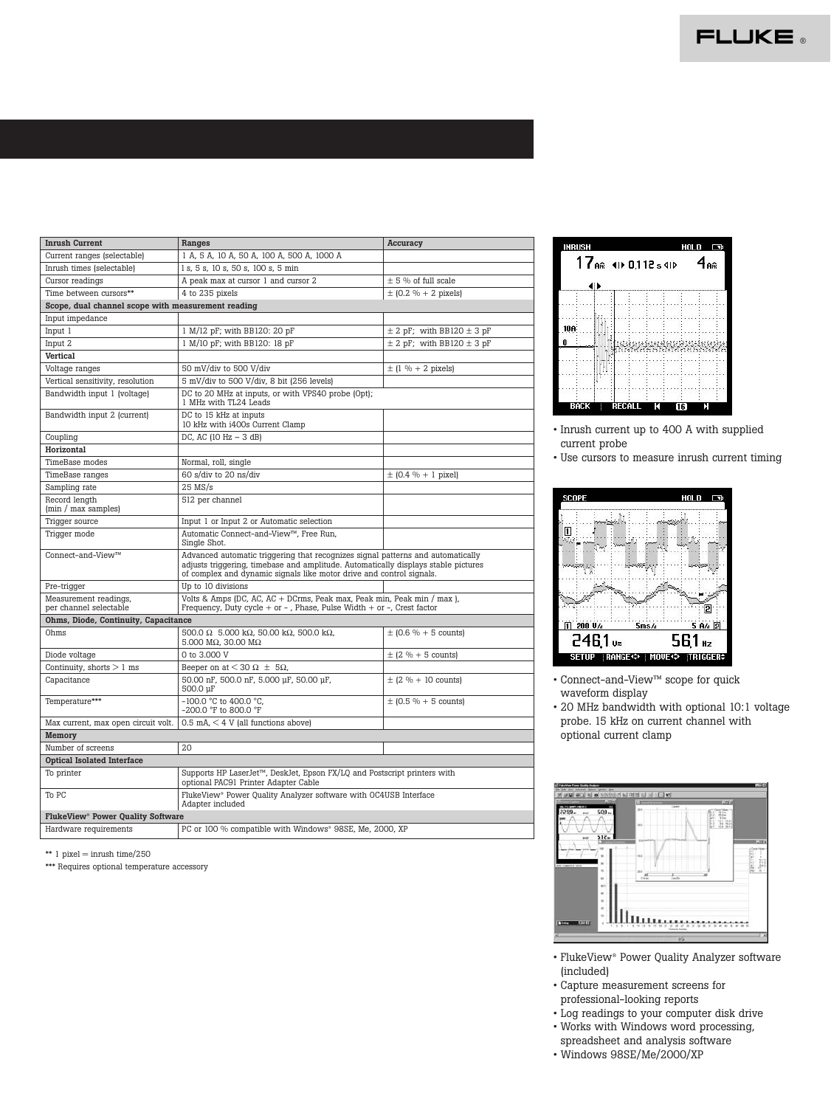

| <b>Inrush Current</b>                               | Ranges                                                                                                                                                                                                                                        | Accuracy                          |  |
|-----------------------------------------------------|-----------------------------------------------------------------------------------------------------------------------------------------------------------------------------------------------------------------------------------------------|-----------------------------------|--|
| Current ranges (selectable)                         | 1 A, 5 A, 10 A, 50 A, 100 A, 500 A, 1000 A                                                                                                                                                                                                    |                                   |  |
| Inrush times (selectable)                           | 1 s, 5 s, 10 s, 50 s, 100 s, 5 min                                                                                                                                                                                                            |                                   |  |
| Cursor readings                                     | A peak max at cursor 1 and cursor 2                                                                                                                                                                                                           | $\pm$ 5 % of full scale           |  |
| Time between cursors**                              | 4 to 235 pixels                                                                                                                                                                                                                               | $\pm$ (0.2 % + 2 pixels)          |  |
| Scope, dual channel scope with measurement reading  |                                                                                                                                                                                                                                               |                                   |  |
| Input impedance                                     |                                                                                                                                                                                                                                               |                                   |  |
| Input 1                                             | 1 M/12 pF; with BB120: 20 pF                                                                                                                                                                                                                  | $\pm$ 2 pF; with BB120 $\pm$ 3 pF |  |
| Input 2                                             | 1 M/10 pF; with BB120: 18 pF                                                                                                                                                                                                                  | $\pm$ 2 pF; with BB120 $\pm$ 3 pF |  |
| <b>Vertical</b>                                     |                                                                                                                                                                                                                                               |                                   |  |
| Voltage ranges                                      | 50 mV/div to 500 V/div                                                                                                                                                                                                                        | $\pm$ (1 % + 2 pixels)            |  |
| Vertical sensitivity, resolution                    | 5 mV/div to 500 V/div, 8 bit (256 levels)                                                                                                                                                                                                     |                                   |  |
| Bandwidth input 1 (voltage)                         | DC to 20 MHz at inputs, or with VPS40 probe (Opt);<br>1 MHz with TL24 Leads                                                                                                                                                                   |                                   |  |
| Bandwidth input 2 (current)                         | DC to 15 kHz at inputs<br>10 kHz with i400s Current Clamp                                                                                                                                                                                     |                                   |  |
| Coupling                                            | DC, AC (10 Hz $-$ 3 dB)                                                                                                                                                                                                                       |                                   |  |
| Horizontal                                          |                                                                                                                                                                                                                                               |                                   |  |
| TimeBase modes                                      | Normal, roll, single                                                                                                                                                                                                                          |                                   |  |
| TimeBase ranges                                     | 60 s/div to 20 ns/div                                                                                                                                                                                                                         | $\pm$ (0.4 % + 1 pixel)           |  |
| Sampling rate                                       | $25$ MS/s                                                                                                                                                                                                                                     |                                   |  |
| Record lenath<br>(min / max samples)                | 512 per channel                                                                                                                                                                                                                               |                                   |  |
| Trigger source                                      | Input 1 or Input 2 or Automatic selection                                                                                                                                                                                                     |                                   |  |
| Trigger mode                                        | Automatic Connect-and-View™, Free Run,<br>Single Shot.                                                                                                                                                                                        |                                   |  |
| Connect-and-View™                                   | Advanced automatic triggering that recognizes signal patterns and automatically<br>adjusts triggering, timebase and amplitude. Automatically displays stable pictures<br>of complex and dynamic signals like motor drive and control signals. |                                   |  |
| Pre-trigger                                         | Up to 10 divisions                                                                                                                                                                                                                            |                                   |  |
| Measurement readings,<br>per channel selectable     | Volts & Amps (DC, AC, AC + DCrms, Peak max, Peak min, Peak min / max),<br>Frequency, Duty cycle + or - , Phase, Pulse Width + or -, Crest factor                                                                                              |                                   |  |
| Ohms, Diode, Continuity, Capacitance                |                                                                                                                                                                                                                                               |                                   |  |
| Ohms                                                | 500.0 Ω 5.000 kΩ, 50.00 kΩ, 500.0 kΩ,<br>5.000 M $\Omega$ , 30.00 M $\Omega$                                                                                                                                                                  | $\pm$ (0.6 % + 5 counts)          |  |
| Diode voltage                                       | 0 to 3,000 V                                                                                                                                                                                                                                  | $\pm$ (2 % + 5 counts)            |  |
| Continuity, shorts $> 1$ ms                         | Beeper on at $<$ 30 $\Omega$ $\pm$ 5 $\Omega$ ,                                                                                                                                                                                               |                                   |  |
| Capacitance                                         | 50.00 nF, 500.0 nF, 5.000 µF, 50.00 µF,<br>500.0 µF                                                                                                                                                                                           | $\pm$ (2 % + 10 counts)           |  |
| Temperature***                                      | $-100.0$ °C to 400.0 °C.<br>-200.0 °F to 800.0 °F                                                                                                                                                                                             | $\pm$ (0.5 % + 5 counts)          |  |
| Max current, max open circuit volt.                 | $0.5$ mA, $<$ 4 V (all functions above)                                                                                                                                                                                                       |                                   |  |
| Memorv                                              |                                                                                                                                                                                                                                               |                                   |  |
| Number of screens                                   | $20^{\circ}$                                                                                                                                                                                                                                  |                                   |  |
| <b>Optical Isolated Interface</b>                   |                                                                                                                                                                                                                                               |                                   |  |
| To printer                                          | Supports HP LaserJet™, DeskJet, Epson FX/LQ and Postscript printers with<br>optional PAC91 Printer Adapter Cable                                                                                                                              |                                   |  |
| To PC                                               | FlukeView <sup>®</sup> Power Quality Analyzer software with OC4USB Interface<br>Adapter included                                                                                                                                              |                                   |  |
| <b>FlukeView<sup>®</sup> Power Quality Software</b> |                                                                                                                                                                                                                                               |                                   |  |
| Hardware requirements                               | PC or 100 % compatible with Windows <sup>®</sup> 98SE, Me, 2000, XP                                                                                                                                                                           |                                   |  |

\*\*  $1$  pixel = inrush time/250

\*\*\* Requires optional temperature accessory



• Inrush current up to 400 A with supplied current probe

• Use cursors to measure inrush current timing



• Connect-and-View™ scope for quick waveform display

• 20 MHz bandwidth with optional 10:1 voltage probe. 15 kHz on current channel with optional current clamp



- FlukeView® Power Quality Analyzer software (included)
- Capture measurement screens for professional-looking reports
- Log readings to your computer disk drive
- Works with Windows word processing, spreadsheet and analysis software
- Windows 98SE/Me/2000/XP